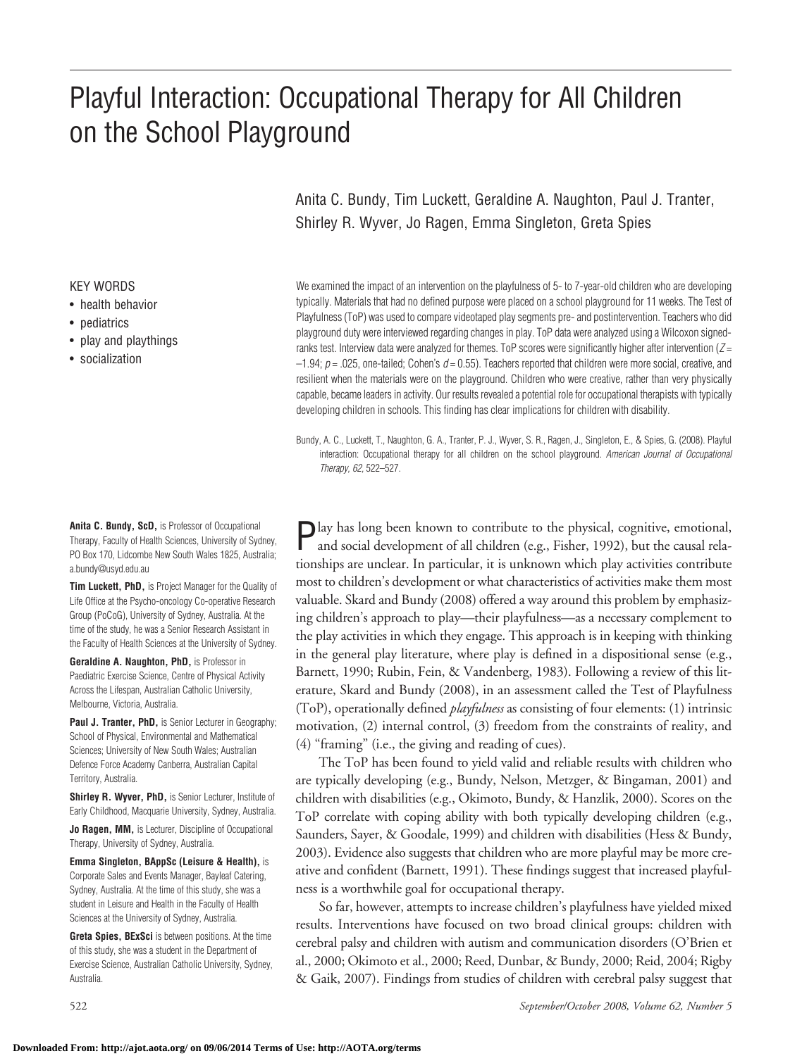# Playful Interaction: Occupational Therapy for All Children on the School Playground

Anita C. Bundy, Tim Luckett, Geraldine A. Naughton, Paul J. Tranter, Shirley R. Wyver, Jo Ragen, Emma Singleton, Greta Spies

We examined the impact of an intervention on the playfulness of 5- to 7-year-old children who are developing typically. Materials that had no defined purpose were placed on a school playground for 11 weeks. The Test of Playfulness (ToP) was used to compare videotaped play segments pre- and postintervention. Teachers who did playground duty were interviewed regarding changes in play. ToP data were analyzed using a Wilcoxon signedranks test. Interview data were analyzed for themes. ToP scores were significantly higher after intervention (*Z* = –1.94; *p* = .025, one-tailed; Cohen's *d* = 0.55). Teachers reported that children were more social, creative, and resilient when the materials were on the playground. Children who were creative, rather than very physically capable, became leaders in activity. Our results revealed a potential role for occupational therapists with typically developing children in schools. This finding has clear implications for children with disability.

Bundy, A. C., Luckett, T., Naughton, G. A., Tranter, P. J., Wyver, S. R., Ragen, J., Singleton, E., & Spies, G. (2008). Playful interaction: Occupational therapy for all children on the school playground. *American Journal of Occupational Therapy, 62,* 522–527.

Play has long been known to contribute to the physical, cognitive, emotional, and social development of all children (e.g., Fisher, 1992), but the causal relationships are unclear. In particular, it is unknown which play activities contribute most to children's development or what characteristics of activities make them most valuable. Skard and Bundy (2008) offered a way around this problem by emphasizing children's approach to play—their playfulness—as a necessary complement to the play activities in which they engage. This approach is in keeping with thinking in the general play literature, where play is defined in a dispositional sense (e.g., Barnett, 1990; Rubin, Fein, & Vandenberg, 1983). Following a review of this literature, Skard and Bundy (2008), in an assessment called the Test of Playfulness (ToP), operationally defined *playfulness* as consisting of four elements: (1) intrinsic motivation, (2) internal control, (3) freedom from the constraints of reality, and (4) "framing" (i.e., the giving and reading of cues).

The ToP has been found to yield valid and reliable results with children who are typically developing (e.g., Bundy, Nelson, Metzger, & Bingaman, 2001) and children with disabilities (e.g., Okimoto, Bundy, & Hanzlik, 2000). Scores on the ToP correlate with coping ability with both typically developing children (e.g., Saunders, Sayer, & Goodale, 1999) and children with disabilities (Hess & Bundy, 2003). Evidence also suggests that children who are more playful may be more creative and confident (Barnett, 1991). These findings suggest that increased playfulness is a worthwhile goal for occupational therapy.

So far, however, attempts to increase children's playfulness have yielded mixed results. Interventions have focused on two broad clinical groups: children with cerebral palsy and children with autism and communication disorders (O'Brien et al., 2000; Okimoto et al., 2000; Reed, Dunbar, & Bundy, 2000; Reid, 2004; Rigby & Gaik, 2007). Findings from studies of children with cerebral palsy suggest that

KEY WORDS • health behavior

- pediatrics
- play and playthings
- socialization

**Anita C. Bundy, ScD,** is Professor of Occupational Therapy, Faculty of Health Sciences, University of Sydney, PO Box 170, Lidcombe New South Wales 1825, Australia; a.bundy@usyd.edu.au

**Tim Luckett, PhD,** is Project Manager for the Quality of Life Office at the Psycho-oncology Co-operative Research Group (PoCoG), University of Sydney, Australia. At the time of the study, he was a Senior Research Assistant in the Faculty of Health Sciences at the University of Sydney.

**Geraldine A. Naughton, PhD,** is Professor in Paediatric Exercise Science, Centre of Physical Activity Across the Lifespan, Australian Catholic University, Melbourne, Victoria, Australia.

Paul J. Tranter, PhD, is Senior Lecturer in Geography; School of Physical, Environmental and Mathematical Sciences; University of New South Wales; Australian Defence Force Academy Canberra, Australian Capital Territory, Australia.

**Shirley R. Wyver, PhD,** is Senior Lecturer, Institute of Early Childhood, Macquarie University, Sydney, Australia.

**Jo Ragen, MM,** is Lecturer, Discipline of Occupational Therapy, University of Sydney, Australia.

**Emma Singleton, BAppSc (Leisure & Health),** is Corporate Sales and Events Manager, Bayleaf Catering, Sydney, Australia. At the time of this study, she was a student in Leisure and Health in the Faculty of Health Sciences at the University of Sydney, Australia.

**Greta Spies, BExSci** is between positions. At the time of this study, she was a student in the Department of Exercise Science, Australian Catholic University, Sydney, Australia.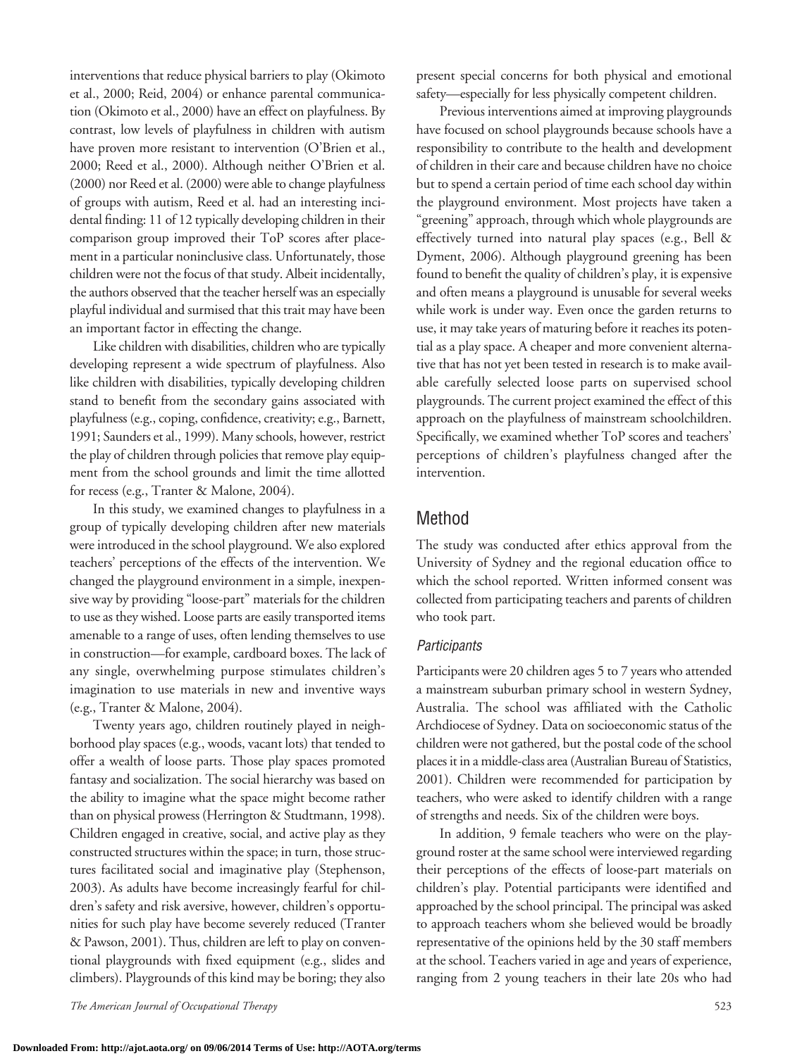interventions that reduce physical barriers to play (Okimoto et al., 2000; Reid, 2004) or enhance parental communication (Okimoto et al., 2000) have an effect on playfulness. By contrast, low levels of playfulness in children with autism have proven more resistant to intervention (O'Brien et al., 2000; Reed et al., 2000). Although neither O'Brien et al. (2000) nor Reed et al. (2000) were able to change playfulness of groups with autism, Reed et al. had an interesting incidental finding: 11 of 12 typically developing children in their comparison group improved their ToP scores after placement in a particular noninclusive class. Unfortunately, those children were not the focus of that study. Albeit incidentally, the authors observed that the teacher herself was an especially playful individual and surmised that this trait may have been an important factor in effecting the change.

Like children with disabilities, children who are typically developing represent a wide spectrum of playfulness. Also like children with disabilities, typically developing children stand to benefit from the secondary gains associated with playfulness (e.g., coping, confidence, creativity; e.g., Barnett, 1991; Saunders et al., 1999). Many schools, however, restrict the play of children through policies that remove play equipment from the school grounds and limit the time allotted for recess (e.g., Tranter & Malone, 2004).

In this study, we examined changes to playfulness in a group of typically developing children after new materials were introduced in the school playground. We also explored teachers' perceptions of the effects of the intervention. We changed the playground environment in a simple, inexpensive way by providing "loose-part" materials for the children to use as they wished. Loose parts are easily transported items amenable to a range of uses, often lending themselves to use in construction—for example, cardboard boxes. The lack of any single, overwhelming purpose stimulates children's imagination to use materials in new and inventive ways (e.g., Tranter & Malone, 2004).

Twenty years ago, children routinely played in neighborhood play spaces (e.g., woods, vacant lots) that tended to offer a wealth of loose parts. Those play spaces promoted fantasy and socialization. The social hierarchy was based on the ability to imagine what the space might become rather than on physical prowess (Herrington & Studtmann, 1998). Children engaged in creative, social, and active play as they constructed structures within the space; in turn, those structures facilitated social and imaginative play (Stephenson, 2003). As adults have become increasingly fearful for children's safety and risk aversive, however, children's opportunities for such play have become severely reduced (Tranter & Pawson, 2001). Thus, children are left to play on conventional playgrounds with fixed equipment (e.g., slides and climbers). Playgrounds of this kind may be boring; they also

*The American Journal of Occupational Therapy* 523

present special concerns for both physical and emotional safety—especially for less physically competent children.

Previous interventions aimed at improving playgrounds have focused on school playgrounds because schools have a responsibility to contribute to the health and development of children in their care and because children have no choice but to spend a certain period of time each school day within the playground environment. Most projects have taken a "greening" approach, through which whole playgrounds are effectively turned into natural play spaces (e.g., Bell & Dyment, 2006). Although playground greening has been found to benefit the quality of children's play, it is expensive and often means a playground is unusable for several weeks while work is under way. Even once the garden returns to use, it may take years of maturing before it reaches its potential as a play space. A cheaper and more convenient alternative that has not yet been tested in research is to make available carefully selected loose parts on supervised school playgrounds. The current project examined the effect of this approach on the playfulness of mainstream schoolchildren. Specifically, we examined whether ToP scores and teachers' perceptions of children's playfulness changed after the intervention.

#### Method

The study was conducted after ethics approval from the University of Sydney and the regional education office to which the school reported. Written informed consent was collected from participating teachers and parents of children who took part.

#### *Participants*

Participants were 20 children ages 5 to 7 years who attended a mainstream suburban primary school in western Sydney, Australia. The school was affiliated with the Catholic Archdiocese of Sydney. Data on socioeconomic status of the children were not gathered, but the postal code of the school places it in a middle-class area (Australian Bureau of Statistics, 2001). Children were recommended for participation by teachers, who were asked to identify children with a range of strengths and needs. Six of the children were boys.

In addition, 9 female teachers who were on the playground roster at the same school were interviewed regarding their perceptions of the effects of loose-part materials on children's play. Potential participants were identified and approached by the school principal. The principal was asked to approach teachers whom she believed would be broadly representative of the opinions held by the 30 staff members at the school. Teachers varied in age and years of experience, ranging from 2 young teachers in their late 20s who had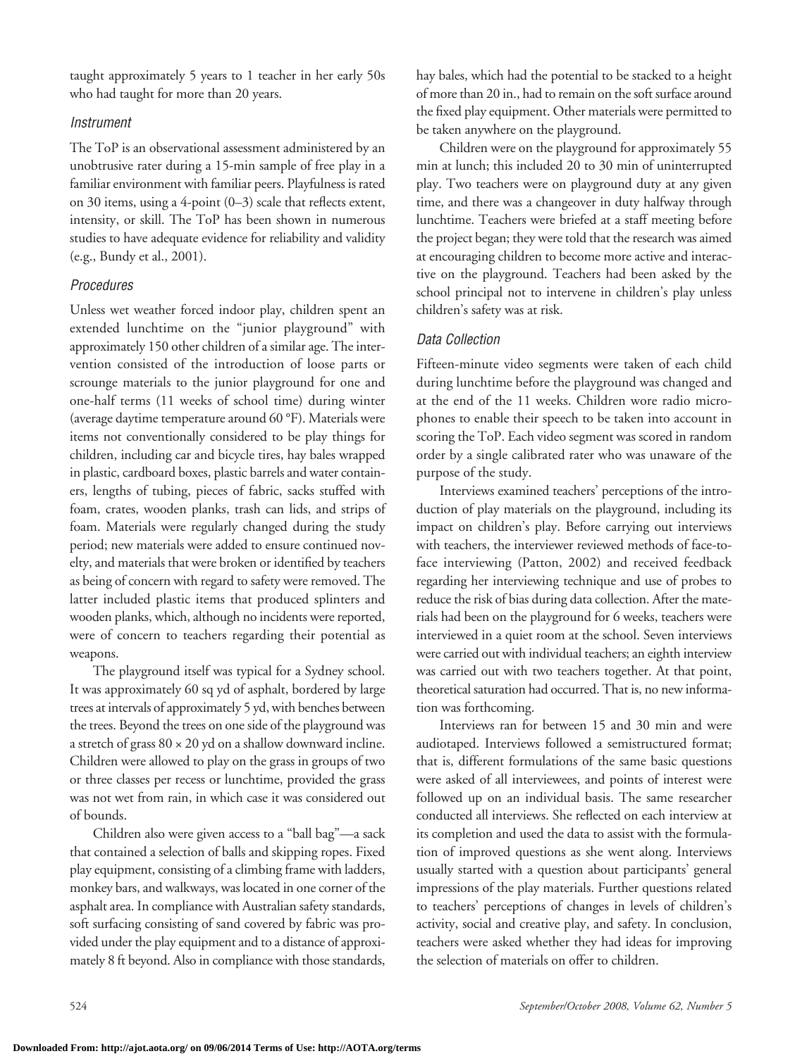taught approximately 5 years to 1 teacher in her early 50s who had taught for more than 20 years.

#### *Instrument*

The ToP is an observational assessment administered by an unobtrusive rater during a 15-min sample of free play in a familiar environment with familiar peers. Playfulness is rated on 30 items, using a 4-point (0–3) scale that reflects extent, intensity, or skill. The ToP has been shown in numerous studies to have adequate evidence for reliability and validity (e.g., Bundy et al., 2001).

#### *Procedures*

Unless wet weather forced indoor play, children spent an extended lunchtime on the "junior playground" with approximately 150 other children of a similar age. The intervention consisted of the introduction of loose parts or scrounge materials to the junior playground for one and one-half terms (11 weeks of school time) during winter (average daytime temperature around 60 °F). Materials were items not conventionally considered to be play things for children, including car and bicycle tires, hay bales wrapped in plastic, cardboard boxes, plastic barrels and water containers, lengths of tubing, pieces of fabric, sacks stuffed with foam, crates, wooden planks, trash can lids, and strips of foam. Materials were regularly changed during the study period; new materials were added to ensure continued novelty, and materials that were broken or identified by teachers as being of concern with regard to safety were removed. The latter included plastic items that produced splinters and wooden planks, which, although no incidents were reported, were of concern to teachers regarding their potential as weapons.

The playground itself was typical for a Sydney school. It was approximately 60 sq yd of asphalt, bordered by large trees at intervals of approximately 5 yd, with benches between the trees. Beyond the trees on one side of the playground was a stretch of grass  $80 \times 20$  yd on a shallow downward incline. Children were allowed to play on the grass in groups of two or three classes per recess or lunchtime, provided the grass was not wet from rain, in which case it was considered out of bounds.

Children also were given access to a "ball bag"—a sack that contained a selection of balls and skipping ropes. Fixed play equipment, consisting of a climbing frame with ladders, monkey bars, and walkways, was located in one corner of the asphalt area. In compliance with Australian safety standards, soft surfacing consisting of sand covered by fabric was provided under the play equipment and to a distance of approximately 8 ft beyond. Also in compliance with those standards,

hay bales, which had the potential to be stacked to a height of more than 20 in., had to remain on the soft surface around the fixed play equipment. Other materials were permitted to be taken anywhere on the playground.

Children were on the playground for approximately 55 min at lunch; this included 20 to 30 min of uninterrupted play. Two teachers were on playground duty at any given time, and there was a changeover in duty halfway through lunchtime. Teachers were briefed at a staff meeting before the project began; they were told that the research was aimed at encouraging children to become more active and interactive on the playground. Teachers had been asked by the school principal not to intervene in children's play unless children's safety was at risk.

#### *Data Collection*

Fifteen-minute video segments were taken of each child during lunchtime before the playground was changed and at the end of the 11 weeks. Children wore radio microphones to enable their speech to be taken into account in scoring the ToP. Each video segment was scored in random order by a single calibrated rater who was unaware of the purpose of the study.

Interviews examined teachers' perceptions of the introduction of play materials on the playground, including its impact on children's play. Before carrying out interviews with teachers, the interviewer reviewed methods of face-toface interviewing (Patton, 2002) and received feedback regarding her interviewing technique and use of probes to reduce the risk of bias during data collection. After the materials had been on the playground for 6 weeks, teachers were interviewed in a quiet room at the school. Seven interviews were carried out with individual teachers; an eighth interview was carried out with two teachers together. At that point, theoretical saturation had occurred. That is, no new information was forthcoming.

Interviews ran for between 15 and 30 min and were audiotaped. Interviews followed a semistructured format; that is, different formulations of the same basic questions were asked of all interviewees, and points of interest were followed up on an individual basis. The same researcher conducted all interviews. She reflected on each interview at its completion and used the data to assist with the formulation of improved questions as she went along. Interviews usually started with a question about participants' general impressions of the play materials. Further questions related to teachers' perceptions of changes in levels of children's activity, social and creative play, and safety. In conclusion, teachers were asked whether they had ideas for improving the selection of materials on offer to children.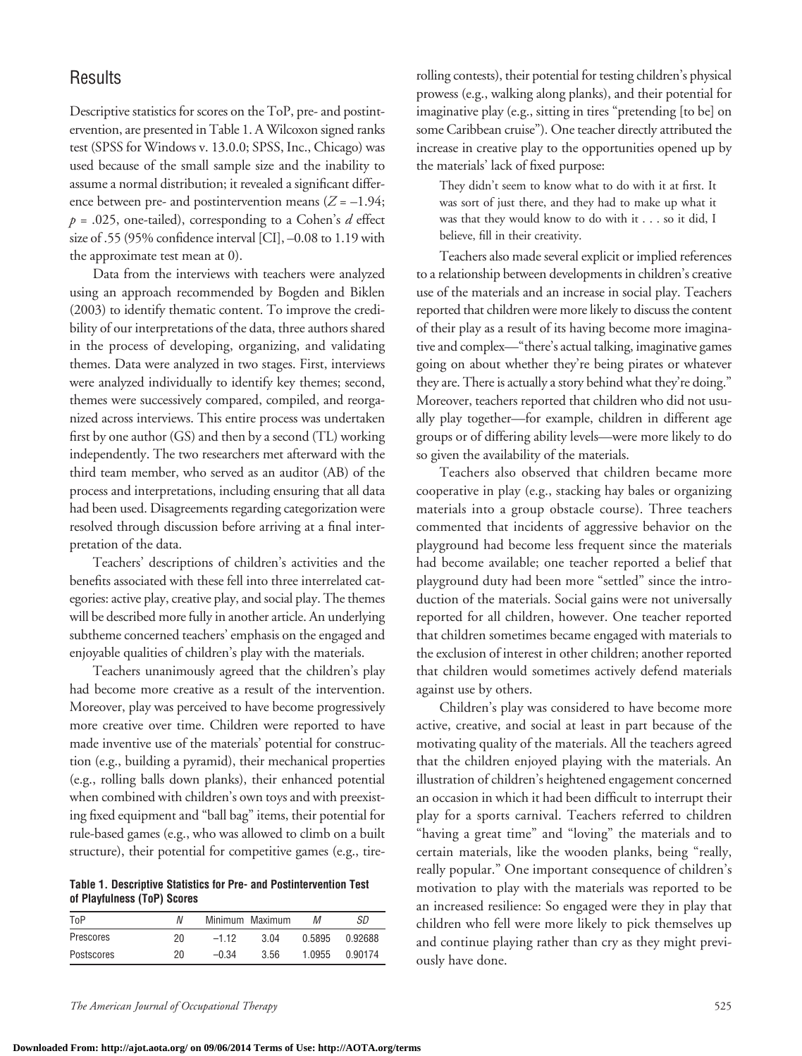#### **Results**

Descriptive statistics for scores on the ToP, pre- and postintervention, are presented in Table 1. A Wilcoxon signed ranks test (SPSS for Windows v. 13.0.0; SPSS, Inc., Chicago) was used because of the small sample size and the inability to assume a normal distribution; it revealed a significant difference between pre- and postintervention means  $(Z = -1.94;$ *p* = .025, one-tailed), corresponding to a Cohen's *d* effect size of .55 (95% confidence interval [CI],  $-0.08$  to 1.19 with the approximate test mean at 0).

Data from the interviews with teachers were analyzed using an approach recommended by Bogden and Biklen (2003) to identify thematic content. To improve the credibility of our interpretations of the data, three authors shared in the process of developing, organizing, and validating themes. Data were analyzed in two stages. First, interviews were analyzed individually to identify key themes; second, themes were successively compared, compiled, and reorganized across interviews. This entire process was undertaken first by one author (GS) and then by a second (TL) working independently. The two researchers met afterward with the third team member, who served as an auditor (AB) of the process and interpretations, including ensuring that all data had been used. Disagreements regarding categorization were resolved through discussion before arriving at a final interpretation of the data.

Teachers' descriptions of children's activities and the benefits associated with these fell into three interrelated categories: active play, creative play, and social play. The themes will be described more fully in another article. An underlying subtheme concerned teachers' emphasis on the engaged and enjoyable qualities of children's play with the materials.

Teachers unanimously agreed that the children's play had become more creative as a result of the intervention. Moreover, play was perceived to have become progressively more creative over time. Children were reported to have made inventive use of the materials' potential for construction (e.g., building a pyramid), their mechanical properties (e.g., rolling balls down planks), their enhanced potential when combined with children's own toys and with preexisting fixed equipment and "ball bag" items, their potential for rule-based games (e.g., who was allowed to climb on a built structure), their potential for competitive games (e.g., tire-

**Table 1. Descriptive Statistics for Pre- and Postintervention Test of Playfulness (ToP) Scores**

| ToP        | N   |         | Minimum Maximum | М      | SD      |
|------------|-----|---------|-----------------|--------|---------|
| Prescores  | 20  | $-112$  | 3 Q4            | 0.5895 | በ 92688 |
| Postscores | 20. | $-0.34$ | 3.56            | 1.0955 | 0.90174 |

rolling contests), their potential for testing children's physical prowess (e.g., walking along planks), and their potential for imaginative play (e.g., sitting in tires "pretending [to be] on some Caribbean cruise"). One teacher directly attributed the increase in creative play to the opportunities opened up by the materials' lack of fixed purpose:

They didn't seem to know what to do with it at first. It was sort of just there, and they had to make up what it was that they would know to do with it . . . so it did, I believe, fill in their creativity.

Teachers also made several explicit or implied references to a relationship between developments in children's creative use of the materials and an increase in social play. Teachers reported that children were morelikely to discuss the content of their play as a result of its having become more imaginative and complex—"there's actual talking, imaginative games going on about whether they're being pirates or whatever they are. There is actually a story behind what they're doing." Moreover, teachers reported that children who did not usually play together—for example, children in different age groups or of differing ability levels—were more likely to do so given the availability of the materials.

Teachers also observed that children became more cooperative in play (e.g., stacking hay bales or organizing materials into a group obstacle course). Three teachers commented that incidents of aggressive behavior on the playground had become less frequent since the materials had become available; one teacher reported a belief that playground duty had been more "settled" since the introduction of the materials. Social gains were not universally reported for all children, however. One teacher reported that children sometimes became engaged with materials to the exclusion of interest in other children; another reported that children would sometimes actively defend materials against use by others.

Children's play was considered to have become more active, creative, and social at least in part because of the motivating quality of the materials. All the teachers agreed that the children enjoyed playing with the materials. An illustration of children's heightened engagement concerned an occasion in which it had been difficult to interrupt their play for a sports carnival. Teachers referred to children "having a great time" and "loving" the materials and to certain materials, like the wooden planks, being "really, really popular." One important consequence of children's motivation to play with the materials was reported to be an increased resilience: So engaged were they in play that children who fell were more likely to pick themselves up and continue playing rather than cry as they might previously have done.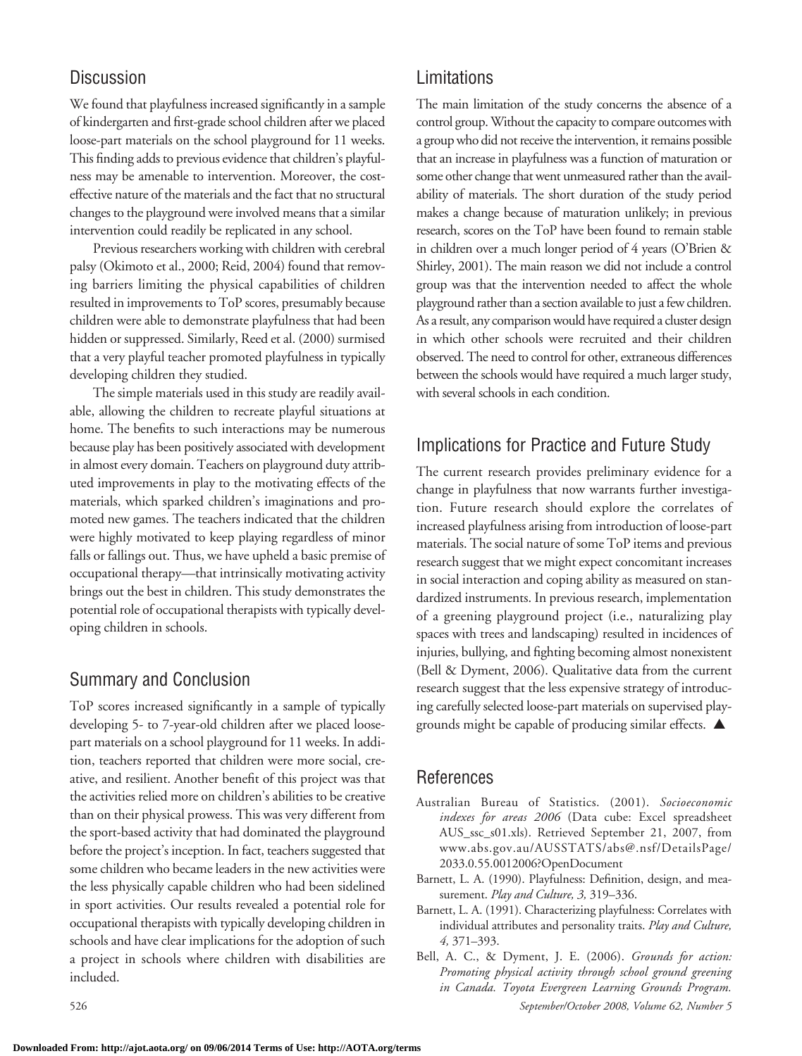## **Discussion**

We found that playfulness increased significantly in a sample of kindergarten and first-grade school children after we placed loose-part materials on the school playground for 11 weeks. This finding adds to previous evidence that children's playfulness may be amenable to intervention. Moreover, the costeffective nature of the materials and thefact that no structural changes to the playground were involved means that a similar intervention could readily be replicated in any school.

Previous researchers working with children with cerebral palsy (Okimoto et al., 2000; Reid, 2004) found that removing barriers limiting the physical capabilities of children resulted in improvements to ToP scores, presumably because children were able to demonstrate playfulness that had been hidden or suppressed. Similarly, Reed et al. (2000) surmised that a very playful teacher promoted playfulness in typically developing children they studied.

The simple materials used in this study are readily available, allowing the children to recreate playful situations at home. The benefits to such interactions may be numerous because play has been positively associated with development in almost every domain. Teachers on playground duty attributed improvements in play to the motivating effects of the materials, which sparked children's imaginations and promoted new games. The teachers indicated that the children were highly motivated to keep playing regardless of minor falls or fallings out. Thus, we have upheld a basic premise of occupational therapy—that intrinsically motivating activity brings out the best in children. This study demonstrates the potential role of occupational therapists with typically developing children in schools.

### Summary and Conclusion

ToP scores increased significantly in a sample of typically developing 5- to 7-year-old children after we placed loosepart materials on a school playground for 11 weeks. In addition, teachers reported that children were more social, creative, and resilient. Another benefit of this project was that the activities relied more on children's abilities to be creative than on their physical prowess. This was very different from the sport-based activity that had dominated the playground before the project's inception. In fact, teachers suggested that some children who became leaders in the new activities were the less physically capable children who had been sidelined in sport activities. Our results revealed a potential role for occupational therapists with typically developing children in schools and have clear implications for the adoption of such a project in schools where children with disabilities are included.

Limitations

The main limitation of the study concerns the absence of a control group. Without the capacity to compare outcomes with a group who did not receive the intervention, it remains possible that an increase in playfulness was a function of maturation or some other change that went unmeasured rather than the availability of materials. The short duration of the study period makes a change because of maturation unlikely; in previous research, scores on the ToP have been found to remain stable in children over a much longer period of 4 years (O'Brien & Shirley, 2001). The main reason we did not include a control group was that the intervention needed to affect the whole playground rather than a section available to just a few children. As a result, any comparison would have required a cluster design in which other schools were recruited and their children observed. The need to control for other, extraneous differences between the schools would have required a much larger study, with several schools in each condition.

## Implications for Practice and Future Study

The current research provides preliminary evidence for a change in playfulness that now warrants further investigation. Future research should explore the correlates of increased playfulness arising from introduction of loose-part materials. The social nature of some ToP items and previous research suggest that we might expect concomitant increases in social interaction and coping ability as measured on standardized instruments. In previous research, implementation of a greening playground project (i.e., naturalizing play spaces with trees and landscaping) resulted in incidences of injuries, bullying, and fighting becoming almost nonexistent (Bell & Dyment, 2006). Qualitative data from the current research suggest that the less expensive strategy of introducing carefully selected loose-part materials on supervised playgrounds might be capable of producing similar effects.  $\blacktriangle$ 

### References

- Australian Bureau of Statistics. (2001). *Socioeconomic indexes for areas 2006* (Data cube: Excel spreadsheet AUS\_ssc\_s01.xls). Retrieved September 21, 2007, from www.abs.gov.au/AUSSTATS/abs@.nsf/DetailsPage/ 2033.0.55.0012006?OpenDocument
- Barnett, L. A. (1990). Playfulness: Definition, design, and measurement. *Play and Culture, 3,* 319–336.
- Barnett, L. A. (1991). Characterizing playfulness: Correlates with individual attributes and personality traits. *Play and Culture, 4,* 371–393.
- 526 *September/October 2008, Volume 62, Number 5* Bell, A. C., & Dyment, J. E. (2006). *Grounds for action: Promoting physical activity through school ground greening in Canada. Toyota Evergreen Learning Grounds Program.*